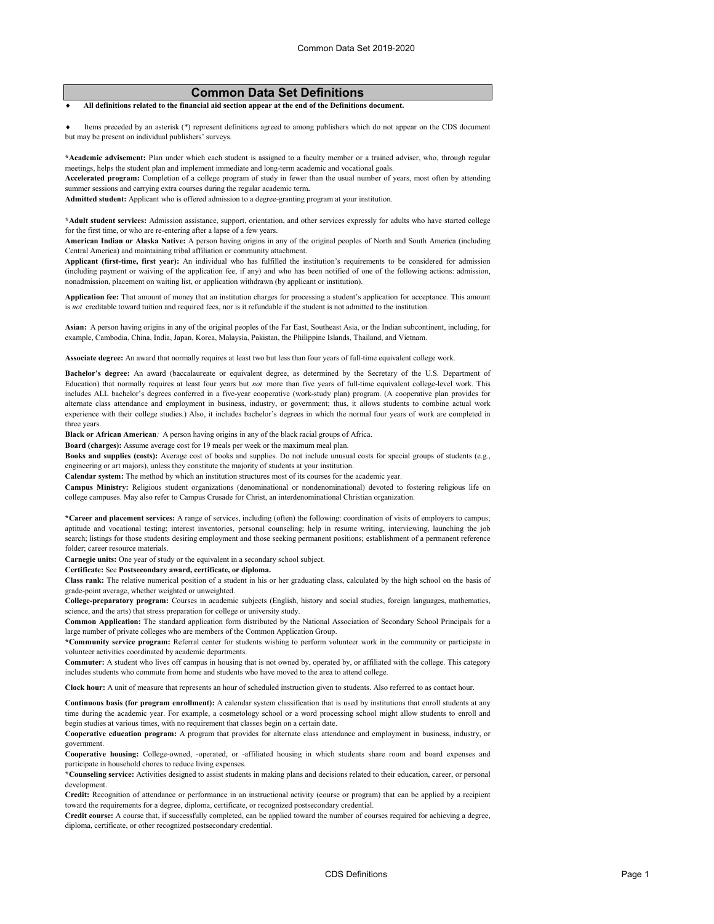# **Common Data Set Definitions**

♦ **All definitions related to the financial aid section appear at the end of the Definitions document.**

Items preceded by an asterisk (\*) represent definitions agreed to among publishers which do not appear on the CDS document but may be present on individual publishers' surveys.

**\*Academic advisement:** Plan under which each student is assigned to a faculty member or a trained adviser, who, through regular meetings, helps the student plan and implement immediate and long-term academic and vocational goals.

**Accelerated program:** Completion of a college program of study in fewer than the usual number of years, most often by attending summer sessions and carrying extra courses during the regular academic term**.**

**Admitted student:** Applicant who is offered admission to a degree-granting program at your institution.

**\*Adult student services:** Admission assistance, support, orientation, and other services expressly for adults who have started college for the first time, or who are re-entering after a lapse of a few years.

**American Indian or Alaska Native:** A person having origins in any of the original peoples of North and South America (including Central America) and maintaining tribal affiliation or community attachment.

**Applicant (first-time, first year):** An individual who has fulfilled the institution's requirements to be considered for admission (including payment or waiving of the application fee, if any) and who has been notified of one of the following actions: admission, nonadmission, placement on waiting list, or application withdrawn (by applicant or institution).

**Application fee:** That amount of money that an institution charges for processing a student's application for acceptance. This amount is not creditable toward tuition and required fees, nor is it refundable if the student is not admitted to the institution.

**Asian:** A person having origins in any of the original peoples of the Far East, Southeast Asia, or the Indian subcontinent, including, for example, Cambodia, China, India, Japan, Korea, Malaysia, Pakistan, the Philippine Islands, Thailand, and Vietnam.

**Associate degree:** An award that normally requires at least two but less than four years of full-time equivalent college work.

**Bachelor's degree:** An award (baccalaureate or equivalent degree, as determined by the Secretary of the U.S. Department of Education) that normally requires at least four years but *not* more than five years of full-time equivalent college-level work. This includes ALL bachelor's degrees conferred in a five-year cooperative (work-study plan) program. (A cooperative plan provides for alternate class attendance and employment in business, industry, or government; thus, it allows students to combine actual work experience with their college studies.) Also, it includes bachelor's degrees in which the normal four years of work are completed in three years.

**Black or African American***:* A person having origins in any of the black racial groups of Africa.

**Board (charges):** Assume average cost for 19 meals per week or the maximum meal plan.

**Books and supplies (costs):** Average cost of books and supplies. Do not include unusual costs for special groups of students (e.g., engineering or art majors), unless they constitute the majority of students at your institution.

**Calendar system:** The method by which an institution structures most of its courses for the academic year.

**Campus Ministry:** Religious student organizations (denominational or nondenominational) devoted to fostering religious life on college campuses. May also refer to Campus Crusade for Christ, an interdenominational Christian organization.

**\*Career and placement services:** A range of services, including (often) the following: coordination of visits of employers to campus; aptitude and vocational testing; interest inventories, personal counseling; help in resume writing, interviewing, launching the job search; listings for those students desiring employment and those seeking permanent positions; establishment of a permanent reference folder; career resource materials.

**Carnegie units:** One year of study or the equivalent in a secondary school subject.

**Certificate:** See **Postsecondary award, certificate, or diploma.**

**Class rank:** The relative numerical position of a student in his or her graduating class, calculated by the high school on the basis of grade-point average, whether weighted or unweighted.

**College-preparatory program:** Courses in academic subjects (English, history and social studies, foreign languages, mathematics, science, and the arts) that stress preparation for college or university study.

**Common Application:** The standard application form distributed by the National Association of Secondary School Principals for a large number of private colleges who are members of the Common Application Group.

**\*Community service program:** Referral center for students wishing to perform volunteer work in the community or participate in volunteer activities coordinated by academic departments.

**Commuter:** A student who lives off campus in housing that is not owned by, operated by, or affiliated with the college. This category includes students who commute from home and students who have moved to the area to attend college.

**Clock hour:** A unit of measure that represents an hour of scheduled instruction given to students. Also referred to as contact hour.

**Continuous basis (for program enrollment):** A calendar system classification that is used by institutions that enroll students at any time during the academic year. For example, a cosmetology school or a word processing school might allow students to enroll and begin studies at various times, with no requirement that classes begin on a certain date.

**Cooperative education program:** A program that provides for alternate class attendance and employment in business, industry, or government.

**Cooperative housing:** College-owned, -operated, or -affiliated housing in which students share room and board expenses and participate in household chores to reduce living expenses.

**\*Counseling service:** Activities designed to assist students in making plans and decisions related to their education, career, or personal development.

**Credit:** Recognition of attendance or performance in an instructional activity (course or program) that can be applied by a recipient toward the requirements for a degree, diploma, certificate, or recognized postsecondary credential.

**Credit course:** A course that, if successfully completed, can be applied toward the number of courses required for achieving a degree, diploma, certificate, or other recognized postsecondary credential.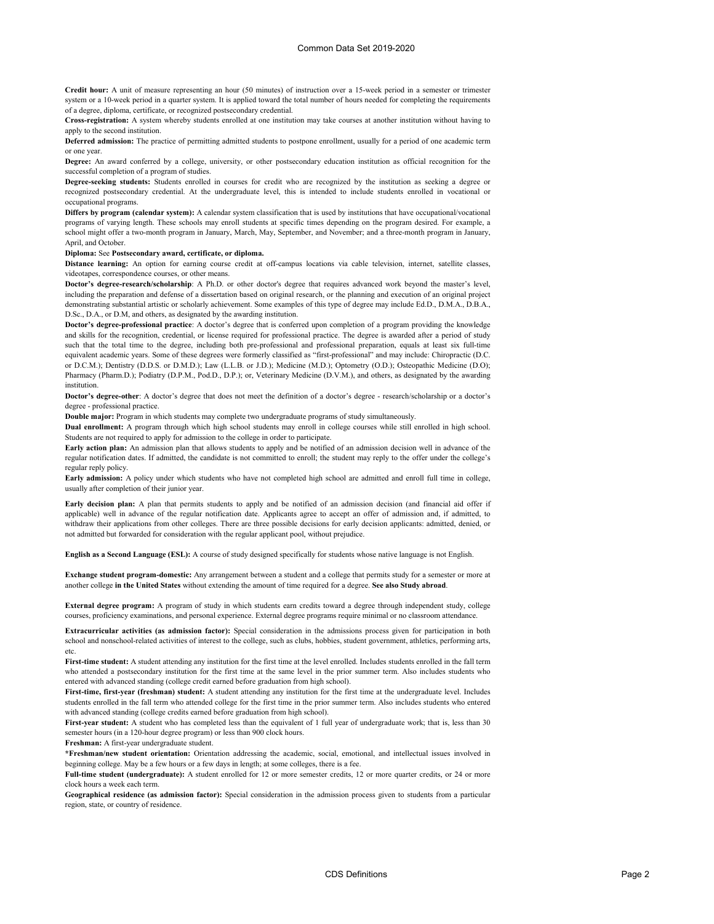**Credit hour:** A unit of measure representing an hour (50 minutes) of instruction over a 15-week period in a semester or trimester system or a 10-week period in a quarter system. It is applied toward the total number of hours needed for completing the requirements of a degree, diploma, certificate, or recognized postsecondary credential.

**Cross-registration:** A system whereby students enrolled at one institution may take courses at another institution without having to apply to the second institution.

**Deferred admission:** The practice of permitting admitted students to postpone enrollment, usually for a period of one academic term or one year.

**Degree:** An award conferred by a college, university, or other postsecondary education institution as official recognition for the successful completion of a program of studies.

**Degree-seeking students:** Students enrolled in courses for credit who are recognized by the institution as seeking a degree or recognized postsecondary credential. At the undergraduate level, this is intended to include students enrolled in vocational or occupational programs.

**Differs by program (calendar system):** A calendar system classification that is used by institutions that have occupational/vocational programs of varying length. These schools may enroll students at specific times depending on the program desired. For example, a school might offer a two-month program in January, March, May, September, and November; and a three-month program in January, April, and October.

**Diploma:** See **Postsecondary award, certificate, or diploma.**

**Distance learning:** An option for earning course credit at off-campus locations via cable television, internet, satellite classes, videotapes, correspondence courses, or other means.

**Doctor's degree-research/scholarship**: A Ph.D. or other doctor's degree that requires advanced work beyond the master's level, including the preparation and defense of a dissertation based on original research, or the planning and execution of an original project demonstrating substantial artistic or scholarly achievement. Some examples of this type of degree may include Ed.D., D.M.A., D.B.A., D.Sc., D.A., or D.M, and others, as designated by the awarding institution.

**Doctor's degree-professional practice**: A doctor's degree that is conferred upon completion of a program providing the knowledge and skills for the recognition, credential, or license required for professional practice. The degree is awarded after a period of study such that the total time to the degree, including both pre-professional and professional preparation, equals at least six full-time equivalent academic years. Some of these degrees were formerly classified as "first-professional" and may include: Chiropractic (D.C. or D.C.M.); Dentistry (D.D.S. or D.M.D.); Law (L.L.B. or J.D.); Medicine (M.D.); Optometry (O.D.); Osteopathic Medicine (D.O); Pharmacy (Pharm.D.); Podiatry (D.P.M., Pod.D., D.P.); or, Veterinary Medicine (D.V.M.), and others, as designated by the awarding institution.

**Doctor's degree-other**: A doctor's degree that does not meet the definition of a doctor's degree - research/scholarship or a doctor's degree - professional practice.

**Double major:** Program in which students may complete two undergraduate programs of study simultaneously.

**Dual enrollment:** A program through which high school students may enroll in college courses while still enrolled in high school. Students are not required to apply for admission to the college in order to participate.

**Early action plan:** An admission plan that allows students to apply and be notified of an admission decision well in advance of the regular notification dates. If admitted, the candidate is not committed to enroll; the student may reply to the offer under the college's regular reply policy.

**Early admission:** A policy under which students who have not completed high school are admitted and enroll full time in college, usually after completion of their junior year.

**Early decision plan:** A plan that permits students to apply and be notified of an admission decision (and financial aid offer if applicable) well in advance of the regular notification date. Applicants agree to accept an offer of admission and, if admitted, to withdraw their applications from other colleges. There are three possible decisions for early decision applicants: admitted, denied, or not admitted but forwarded for consideration with the regular applicant pool, without prejudice.

**English as a Second Language (ESL):** A course of study designed specifically for students whose native language is not English.

**Exchange student program-domestic:** Any arrangement between a student and a college that permits study for a semester or more at another college **in the United States** without extending the amount of time required for a degree. **See also Study abroad**.

**External degree program:** A program of study in which students earn credits toward a degree through independent study, college courses, proficiency examinations, and personal experience. External degree programs require minimal or no classroom attendance.

**Extracurricular activities (as admission factor):** Special consideration in the admissions process given for participation in both school and nonschool-related activities of interest to the college, such as clubs, hobbies, student government, athletics, performing arts, etc.

**First-time student:** A student attending any institution for the first time at the level enrolled. Includes students enrolled in the fall term who attended a postsecondary institution for the first time at the same level in the prior summer term. Also includes students who entered with advanced standing (college credit earned before graduation from high school).

**First-time, first-year (freshman) student:** A student attending any institution for the first time at the undergraduate level. Includes students enrolled in the fall term who attended college for the first time in the prior summer term. Also includes students who entered with advanced standing (college credits earned before graduation from high school).

**First-year student:** A student who has completed less than the equivalent of 1 full year of undergraduate work; that is, less than 30 semester hours (in a 120-hour degree program) or less than 900 clock hours.

**Freshman:** A first-year undergraduate student.

**\*Freshman/new student orientation:** Orientation addressing the academic, social, emotional, and intellectual issues involved in beginning college. May be a few hours or a few days in length; at some colleges, there is a fee.

**Full-time student (undergraduate):** A student enrolled for 12 or more semester credits, 12 or more quarter credits, or 24 or more clock hours a week each term.

**Geographical residence (as admission factor):** Special consideration in the admission process given to students from a particular region, state, or country of residence.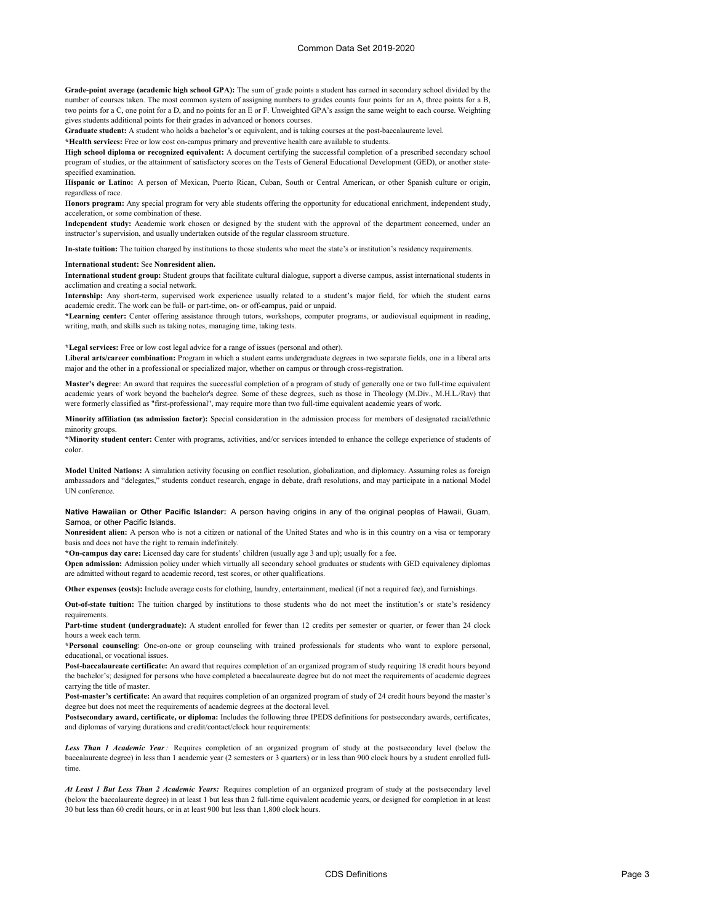**Grade-point average (academic high school GPA):** The sum of grade points a student has earned in secondary school divided by the number of courses taken. The most common system of assigning numbers to grades counts four points for an A, three points for a B, two points for a C, one point for a D, and no points for an E or F. Unweighted GPA's assign the same weight to each course. Weighting gives students additional points for their grades in advanced or honors courses.

**Graduate student:** A student who holds a bachelor's or equivalent, and is taking courses at the post-baccalaureate level.

**\*Health services:** Free or low cost on-campus primary and preventive health care available to students.

**High school diploma or recognized equivalent:** A document certifying the successful completion of a prescribed secondary school program of studies, or the attainment of satisfactory scores on the Tests of General Educational Development (GED), or another statespecified examination.

**Hispanic or Latino:** A person of Mexican, Puerto Rican, Cuban, South or Central American, or other Spanish culture or origin, regardless of race.

**Honors program:** Any special program for very able students offering the opportunity for educational enrichment, independent study, acceleration, or some combination of these.

**Independent study:** Academic work chosen or designed by the student with the approval of the department concerned, under an instructor's supervision, and usually undertaken outside of the regular classroom structure.

**In-state tuition:** The tuition charged by institutions to those students who meet the state's or institution's residency requirements.

#### **International student:** See **Nonresident alien.**

**International student group:** Student groups that facilitate cultural dialogue, support a diverse campus, assist international students in acclimation and creating a social network.

**Internship:** Any short-term, supervised work experience usually related to a student's major field, for which the student earns academic credit. The work can be full- or part-time, on- or off-campus, paid or unpaid.

**\*Learning center:** Center offering assistance through tutors, workshops, computer programs, or audiovisual equipment in reading, writing, math, and skills such as taking notes, managing time, taking tests.

### **\*Legal services:** Free or low cost legal advice for a range of issues (personal and other).

**Liberal arts/career combination:** Program in which a student earns undergraduate degrees in two separate fields, one in a liberal arts major and the other in a professional or specialized major, whether on campus or through cross-registration.

**Master's degree**: An award that requires the successful completion of a program of study of generally one or two full-time equivalent academic years of work beyond the bachelor's degree. Some of these degrees, such as those in Theology (M.Div., M.H.L./Rav) that were formerly classified as "first-professional", may require more than two full-time equivalent academic years of work.

**Minority affiliation (as admission factor):** Special consideration in the admission process for members of designated racial/ethnic minority groups.

**\*Minority student center:** Center with programs, activities, and/or services intended to enhance the college experience of students of color.

**Model United Nations:** A simulation activity focusing on conflict resolution, globalization, and diplomacy. Assuming roles as foreign ambassadors and "delegates," students conduct research, engage in debate, draft resolutions, and may participate in a national Model UN conference.

**Native Hawaiian or Other Pacific Islander:** A person having origins in any of the original peoples of Hawaii, Guam, Samoa, or other Pacific Islands.

**Nonresident alien:** A person who is not a citizen or national of the United States and who is in this country on a visa or temporary basis and does not have the right to remain indefinitely.

**\*On-campus day care:** Licensed day care for students' children (usually age 3 and up); usually for a fee.

**Open admission:** Admission policy under which virtually all secondary school graduates or students with GED equivalency diplomas are admitted without regard to academic record, test scores, or other qualifications.

**Other expenses (costs):** Include average costs for clothing, laundry, entertainment, medical (if not a required fee), and furnishings.

**Out-of-state tuition:** The tuition charged by institutions to those students who do not meet the institution's or state's residency requirements.

**Part-time student (undergraduate):** A student enrolled for fewer than 12 credits per semester or quarter, or fewer than 24 clock hours a week each term.

**\*Personal counseling**: One-on-one or group counseling with trained professionals for students who want to explore personal, educational, or vocational issues.

**Post-baccalaureate certificate:** An award that requires completion of an organized program of study requiring 18 credit hours beyond the bachelor's; designed for persons who have completed a baccalaureate degree but do not meet the requirements of academic degrees carrying the title of master.

**Post-master's certificate:** An award that requires completion of an organized program of study of 24 credit hours beyond the master's degree but does not meet the requirements of academic degrees at the doctoral level.

**Postsecondary award, certificate, or diploma:** Includes the following three IPEDS definitions for postsecondary awards, certificates, and diplomas of varying durations and credit/contact/clock hour requirements:

*Less Than 1 Academic Year:* Requires completion of an organized program of study at the postsecondary level (below the baccalaureate degree) in less than 1 academic year (2 semesters or 3 quarters) or in less than 900 clock hours by a student enrolled fulltime.

*At Least 1 But Less Than 2 Academic Years:* Requires completion of an organized program of study at the postsecondary level (below the baccalaureate degree) in at least 1 but less than 2 full-time equivalent academic years, or designed for completion in at least 30 but less than 60 credit hours, or in at least 900 but less than 1,800 clock hours.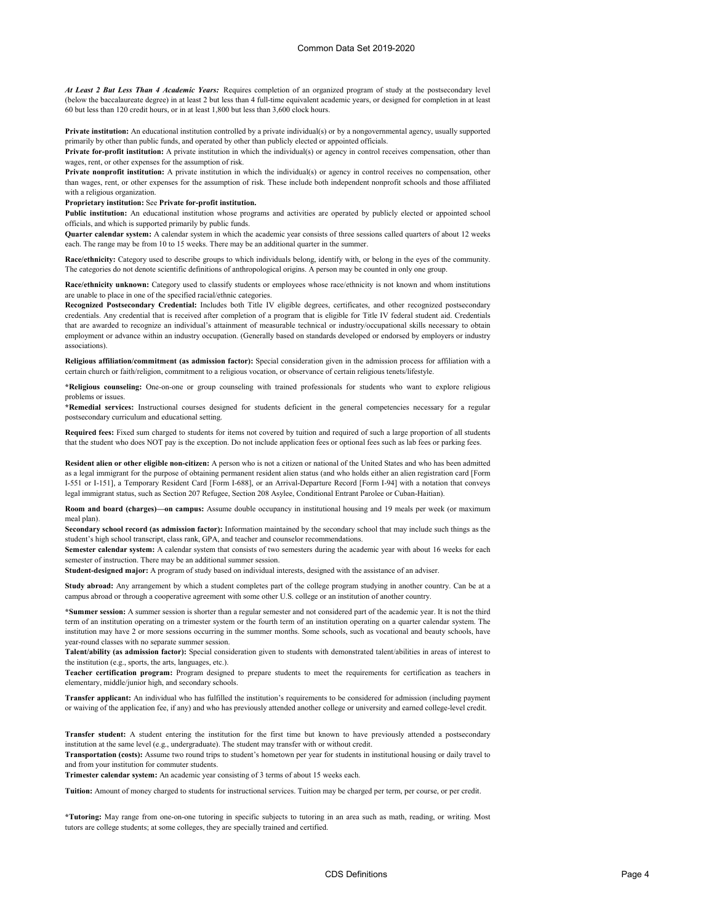*At Least 2 But Less Than 4 Academic Years:* Requires completion of an organized program of study at the postsecondary level (below the baccalaureate degree) in at least 2 but less than 4 full-time equivalent academic years, or designed for completion in at least 60 but less than 120 credit hours, or in at least 1,800 but less than 3,600 clock hours.

**Private institution:** An educational institution controlled by a private individual(s) or by a nongovernmental agency, usually supported primarily by other than public funds, and operated by other than publicly elected or appointed officials.

**Private for-profit institution:** A private institution in which the individual(s) or agency in control receives compensation, other than wages, rent, or other expenses for the assumption of risk.

**Private nonprofit institution:** A private institution in which the individual(s) or agency in control receives no compensation, other than wages, rent, or other expenses for the assumption of risk. These include both independent nonprofit schools and those affiliated with a religious organization.

### **Proprietary institution:** See **Private for-profit institution.**

**Public institution:** An educational institution whose programs and activities are operated by publicly elected or appointed school officials, and which is supported primarily by public funds.

**Quarter calendar system:** A calendar system in which the academic year consists of three sessions called quarters of about 12 weeks each. The range may be from 10 to 15 weeks. There may be an additional quarter in the summer.

**Race/ethnicity:** Category used to describe groups to which individuals belong, identify with, or belong in the eyes of the community. The categories do not denote scientific definitions of anthropological origins. A person may be counted in only one group.

**Race/ethnicity unknown:** Category used to classify students or employees whose race/ethnicity is not known and whom institutions are unable to place in one of the specified racial/ethnic categories.

**Recognized Postsecondary Credential:** Includes both Title IV eligible degrees, certificates, and other recognized postsecondary credentials. Any credential that is received after completion of a program that is eligible for Title IV federal student aid. Credentials that are awarded to recognize an individual's attainment of measurable technical or industry/occupational skills necessary to obtain employment or advance within an industry occupation. (Generally based on standards developed or endorsed by employers or industry associations).

**Religious affiliation/commitment (as admission factor):** Special consideration given in the admission process for affiliation with a certain church or faith/religion, commitment to a religious vocation, or observance of certain religious tenets/lifestyle.

**\*Religious counseling:** One-on-one or group counseling with trained professionals for students who want to explore religious problems or issues.

**\*Remedial services:** Instructional courses designed for students deficient in the general competencies necessary for a regular postsecondary curriculum and educational setting.

**Required fees:** Fixed sum charged to students for items not covered by tuition and required of such a large proportion of all students that the student who does NOT pay is the exception. Do not include application fees or optional fees such as lab fees or parking fees.

**Resident alien or other eligible non-citizen:** A person who is not a citizen or national of the United States and who has been admitted as a legal immigrant for the purpose of obtaining permanent resident alien status (and who holds either an alien registration card [Form I-551 or I-151], a Temporary Resident Card [Form I-688], or an Arrival-Departure Record [Form I-94] with a notation that conveys legal immigrant status, such as Section 207 Refugee, Section 208 Asylee, Conditional Entrant Parolee or Cuban-Haitian).

**Room and board (charges)—on campus:** Assume double occupancy in institutional housing and 19 meals per week (or maximum meal plan).

**Secondary school record (as admission factor):** Information maintained by the secondary school that may include such things as the student's high school transcript, class rank, GPA, and teacher and counselor recommendations.

**Semester calendar system:** A calendar system that consists of two semesters during the academic year with about 16 weeks for each semester of instruction. There may be an additional summer session.

**Student-designed major:** A program of study based on individual interests, designed with the assistance of an adviser.

**Study abroad:** Any arrangement by which a student completes part of the college program studying in another country. Can be at a campus abroad or through a cooperative agreement with some other U.S. college or an institution of another country.

**\*Summer session:** A summer session is shorter than a regular semester and not considered part of the academic year. It is not the third term of an institution operating on a trimester system or the fourth term of an institution operating on a quarter calendar system. The institution may have 2 or more sessions occurring in the summer months. Some schools, such as vocational and beauty schools, have year-round classes with no separate summer session.

**Talent/ability (as admission factor):** Special consideration given to students with demonstrated talent/abilities in areas of interest to the institution (e.g., sports, the arts, languages, etc.).

**Teacher certification program:** Program designed to prepare students to meet the requirements for certification as teachers in elementary, middle/junior high, and secondary schools.

**Transfer applicant:** An individual who has fulfilled the institution's requirements to be considered for admission (including payment or waiving of the application fee, if any) and who has previously attended another college or university and earned college-level credit.

**Transfer student:** A student entering the institution for the first time but known to have previously attended a postsecondary institution at the same level (e.g., undergraduate). The student may transfer with or without credit.

**Transportation (costs):** Assume two round trips to student's hometown per year for students in institutional housing or daily travel to and from your institution for commuter students.

**Trimester calendar system:** An academic year consisting of 3 terms of about 15 weeks each.

**Tuition:** Amount of money charged to students for instructional services. Tuition may be charged per term, per course, or per credit.

**\*Tutoring:** May range from one-on-one tutoring in specific subjects to tutoring in an area such as math, reading, or writing. Most tutors are college students; at some colleges, they are specially trained and certified.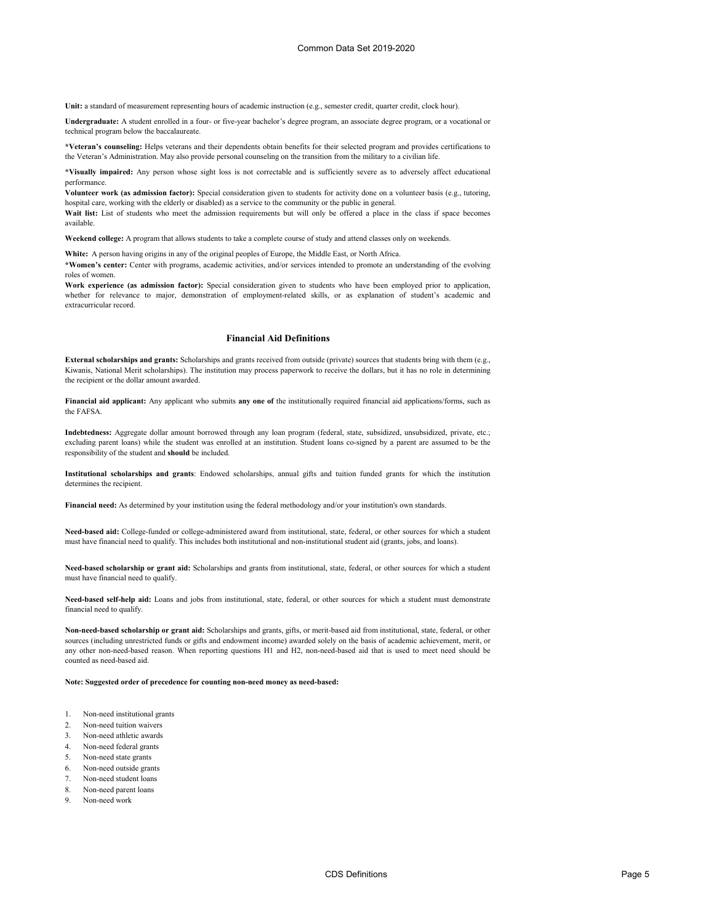**Unit:** a standard of measurement representing hours of academic instruction (e.g., semester credit, quarter credit, clock hour).

**Undergraduate:** A student enrolled in a four- or five-year bachelor's degree program, an associate degree program, or a vocational or technical program below the baccalaureate.

**\*Veteran's counseling:** Helps veterans and their dependents obtain benefits for their selected program and provides certifications to the Veteran's Administration. May also provide personal counseling on the transition from the military to a civilian life.

**\*Visually impaired:** Any person whose sight loss is not correctable and is sufficiently severe as to adversely affect educational performance.

**Volunteer work (as admission factor):** Special consideration given to students for activity done on a volunteer basis (e.g., tutoring, hospital care, working with the elderly or disabled) as a service to the community or the public in general.

Wait list: List of students who meet the admission requirements but will only be offered a place in the class if space becomes available.

**Weekend college:** A program that allows students to take a complete course of study and attend classes only on weekends.

**White:** A person having origins in any of the original peoples of Europe, the Middle East, or North Africa.

**\*Women's center:** Center with programs, academic activities, and/or services intended to promote an understanding of the evolving roles of women.

**Work experience (as admission factor):** Special consideration given to students who have been employed prior to application, whether for relevance to major, demonstration of employment-related skills, or as explanation of student's academic and extracurricular record.

# **Financial Aid Definitions**

**External scholarships and grants:** Scholarships and grants received from outside (private) sources that students bring with them (e.g., Kiwanis, National Merit scholarships). The institution may process paperwork to receive the dollars, but it has no role in determining the recipient or the dollar amount awarded.

**Financial aid applicant:** Any applicant who submits **any one of** the institutionally required financial aid applications/forms, such as the FAFSA.

**Indebtedness:** Aggregate dollar amount borrowed through any loan program (federal, state, subsidized, unsubsidized, private, etc.; excluding parent loans) while the student was enrolled at an institution. Student loans co-signed by a parent are assumed to be the responsibility of the student and **should** be included.

**Institutional scholarships and grants**: Endowed scholarships, annual gifts and tuition funded grants for which the institution determines the recipient.

**Financial need:** As determined by your institution using the federal methodology and/or your institution's own standards.

**Need-based aid:** College-funded or college-administered award from institutional, state, federal, or other sources for which a student must have financial need to qualify. This includes both institutional and non-institutional student aid (grants, jobs, and loans).

**Need-based scholarship or grant aid:** Scholarships and grants from institutional, state, federal, or other sources for which a student must have financial need to qualify.

**Need-based self-help aid:** Loans and jobs from institutional, state, federal, or other sources for which a student must demonstrate financial need to qualify.

**Non-need-based scholarship or grant aid:** Scholarships and grants, gifts, or merit-based aid from institutional, state, federal, or other sources (including unrestricted funds or gifts and endowment income) awarded solely on the basis of academic achievement, merit, or any other non-need-based reason. When reporting questions H1 and H2, non-need-based aid that is used to meet need should be counted as need-based aid.

**Note: Suggested order of precedence for counting non-need money as need-based:**

- 1. Non-need institutional grants
- 2. Non-need tuition waivers
- 3. Non-need athletic awards
- 4. Non-need federal grants
- 5. Non-need state grants
- 6. Non-need outside grants
- 7. Non-need student loans
- 8. Non-need parent loans
- 9. Non-need work